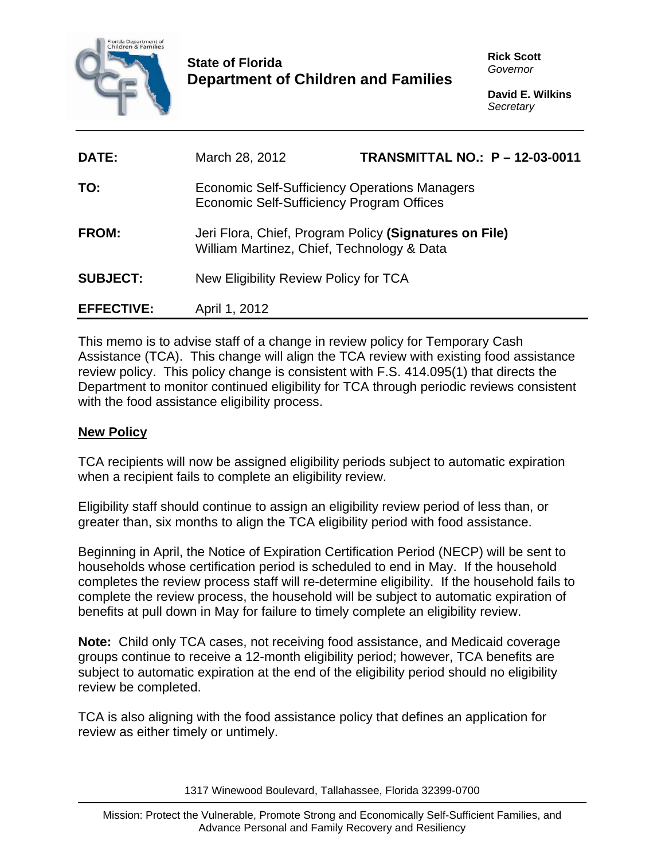

## **State of Florida Department of Children and Families**

**Rick Scott**  *Governor* 

**David E. Wilkins**  *Secretary* 

| DATE:             | March 28, 2012                                                                                       | <b>TRANSMITTAL NO.: P - 12-03-0011</b> |  |
|-------------------|------------------------------------------------------------------------------------------------------|----------------------------------------|--|
| TO:               | Economic Self-Sufficiency Operations Managers<br>Economic Self-Sufficiency Program Offices           |                                        |  |
| <b>FROM:</b>      | Jeri Flora, Chief, Program Policy (Signatures on File)<br>William Martinez, Chief, Technology & Data |                                        |  |
| <b>SUBJECT:</b>   | New Eligibility Review Policy for TCA                                                                |                                        |  |
| <b>EFFECTIVE:</b> | April 1, 2012                                                                                        |                                        |  |

This memo is to advise staff of a change in review policy for Temporary Cash Assistance (TCA). This change will align the TCA review with existing food assistance review policy. This policy change is consistent with F.S. 414.095(1) that directs the Department to monitor continued eligibility for TCA through periodic reviews consistent with the food assistance eligibility process.

## **New Policy**

TCA recipients will now be assigned eligibility periods subject to automatic expiration when a recipient fails to complete an eligibility review.

Eligibility staff should continue to assign an eligibility review period of less than, or greater than, six months to align the TCA eligibility period with food assistance.

Beginning in April, the Notice of Expiration Certification Period (NECP) will be sent to households whose certification period is scheduled to end in May. If the household completes the review process staff will re-determine eligibility. If the household fails to complete the review process, the household will be subject to automatic expiration of benefits at pull down in May for failure to timely complete an eligibility review.

**Note:** Child only TCA cases, not receiving food assistance, and Medicaid coverage groups continue to receive a 12-month eligibility period; however, TCA benefits are subject to automatic expiration at the end of the eligibility period should no eligibility review be completed.

TCA is also aligning with the food assistance policy that defines an application for review as either timely or untimely.

1317 Winewood Boulevard, Tallahassee, Florida 32399-0700